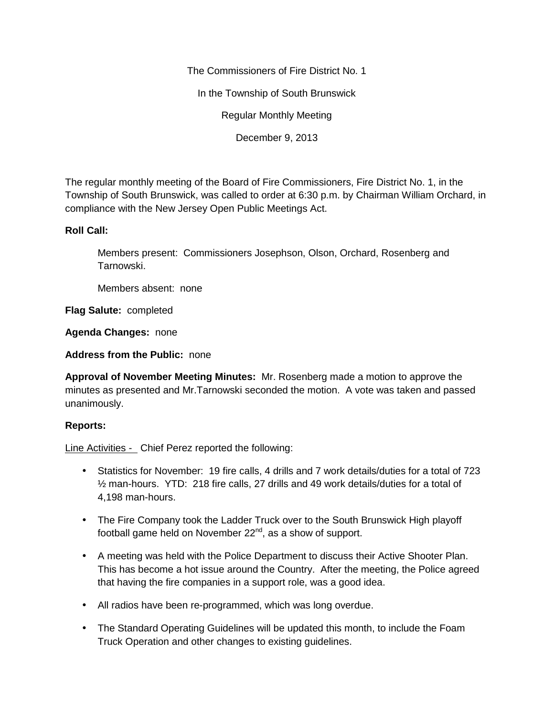The Commissioners of Fire District No. 1

In the Township of South Brunswick

Regular Monthly Meeting

December 9, 2013

The regular monthly meeting of the Board of Fire Commissioners, Fire District No. 1, in the Township of South Brunswick, was called to order at 6:30 p.m. by Chairman William Orchard, in compliance with the New Jersey Open Public Meetings Act.

#### **Roll Call:**

Members present: Commissioners Josephson, Olson, Orchard, Rosenberg and Tarnowski.

Members absent: none

**Flag Salute:** completed

**Agenda Changes:** none

**Address from the Public:** none

**Approval of November Meeting Minutes:** Mr. Rosenberg made a motion to approve the minutes as presented and Mr.Tarnowski seconded the motion. A vote was taken and passed unanimously.

#### **Reports:**

Line Activities - Chief Perez reported the following:

- Statistics for November: 19 fire calls, 4 drills and 7 work details/duties for a total of 723 ½ man-hours. YTD: 218 fire calls, 27 drills and 49 work details/duties for a total of 4,198 man-hours.
- The Fire Company took the Ladder Truck over to the South Brunswick High playoff football game held on November  $22^{nd}$ , as a show of support.
- A meeting was held with the Police Department to discuss their Active Shooter Plan. This has become a hot issue around the Country. After the meeting, the Police agreed that having the fire companies in a support role, was a good idea.
- All radios have been re-programmed, which was long overdue.
- The Standard Operating Guidelines will be updated this month, to include the Foam Truck Operation and other changes to existing guidelines.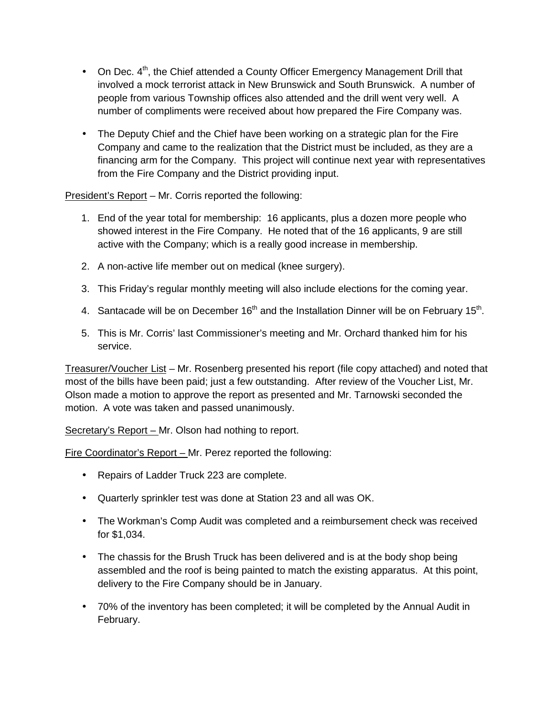- On Dec.  $4^{\text{th}}$ , the Chief attended a County Officer Emergency Management Drill that involved a mock terrorist attack in New Brunswick and South Brunswick. A number of people from various Township offices also attended and the drill went very well. A number of compliments were received about how prepared the Fire Company was.
- The Deputy Chief and the Chief have been working on a strategic plan for the Fire Company and came to the realization that the District must be included, as they are a financing arm for the Company. This project will continue next year with representatives from the Fire Company and the District providing input.

President's Report – Mr. Corris reported the following:

- 1. End of the year total for membership: 16 applicants, plus a dozen more people who showed interest in the Fire Company. He noted that of the 16 applicants, 9 are still active with the Company; which is a really good increase in membership.
- 2. A non-active life member out on medical (knee surgery).
- 3. This Friday's regular monthly meeting will also include elections for the coming year.
- 4. Santacade will be on December 16<sup>th</sup> and the Installation Dinner will be on February 15<sup>th</sup>.
- 5. This is Mr. Corris' last Commissioner's meeting and Mr. Orchard thanked him for his service.

Treasurer/Voucher List – Mr. Rosenberg presented his report (file copy attached) and noted that most of the bills have been paid; just a few outstanding. After review of the Voucher List, Mr. Olson made a motion to approve the report as presented and Mr. Tarnowski seconded the motion. A vote was taken and passed unanimously.

Secretary's Report – Mr. Olson had nothing to report.

Fire Coordinator's Report – Mr. Perez reported the following:

- Repairs of Ladder Truck 223 are complete.
- Quarterly sprinkler test was done at Station 23 and all was OK.
- The Workman's Comp Audit was completed and a reimbursement check was received for \$1,034.
- The chassis for the Brush Truck has been delivered and is at the body shop being assembled and the roof is being painted to match the existing apparatus. At this point, delivery to the Fire Company should be in January.
- 70% of the inventory has been completed; it will be completed by the Annual Audit in February.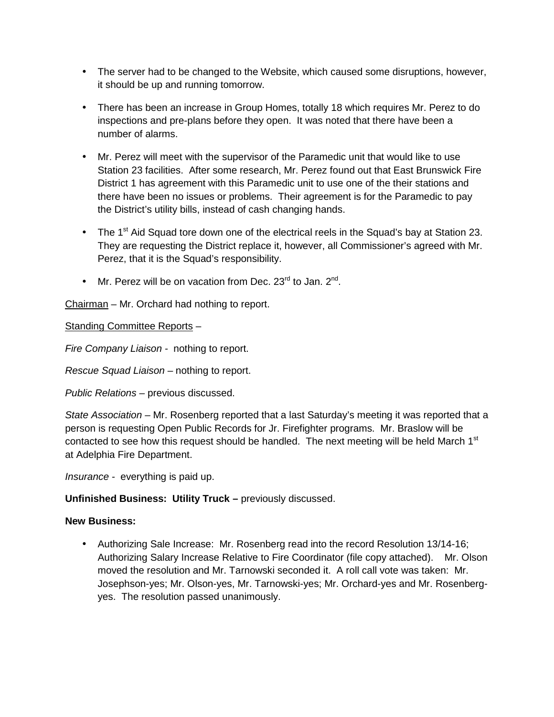- The server had to be changed to the Website, which caused some disruptions, however, it should be up and running tomorrow.
- There has been an increase in Group Homes, totally 18 which requires Mr. Perez to do inspections and pre-plans before they open. It was noted that there have been a number of alarms.
- Mr. Perez will meet with the supervisor of the Paramedic unit that would like to use Station 23 facilities. After some research, Mr. Perez found out that East Brunswick Fire District 1 has agreement with this Paramedic unit to use one of the their stations and there have been no issues or problems. Their agreement is for the Paramedic to pay the District's utility bills, instead of cash changing hands.
- The 1<sup>st</sup> Aid Squad tore down one of the electrical reels in the Squad's bay at Station 23. They are requesting the District replace it, however, all Commissioner's agreed with Mr. Perez, that it is the Squad's responsibility.
- Mr. Perez will be on vacation from Dec. 23 $^{\text{rd}}$  to Jan. 2 $^{\text{nd}}$ .

Chairman – Mr. Orchard had nothing to report.

Standing Committee Reports –

*Fire Company Liaison -* nothing to report.

*Rescue Squad Liaison –* nothing to report.

*Public Relations –* previous discussed.

*State Association –* Mr. Rosenberg reported that a last Saturday's meeting it was reported that a person is requesting Open Public Records for Jr. Firefighter programs. Mr. Braslow will be contacted to see how this request should be handled. The next meeting will be held March  $1<sup>st</sup>$ at Adelphia Fire Department.

*Insurance -* everything is paid up.

# **Unfinished Business: Utility Truck –** previously discussed.

# **New Business:**

 Authorizing Sale Increase: Mr. Rosenberg read into the record Resolution 13/14-16; Authorizing Salary Increase Relative to Fire Coordinator (file copy attached). Mr. Olson moved the resolution and Mr. Tarnowski seconded it. A roll call vote was taken: Mr. Josephson-yes; Mr. Olson-yes, Mr. Tarnowski-yes; Mr. Orchard-yes and Mr. Rosenberg yes. The resolution passed unanimously.